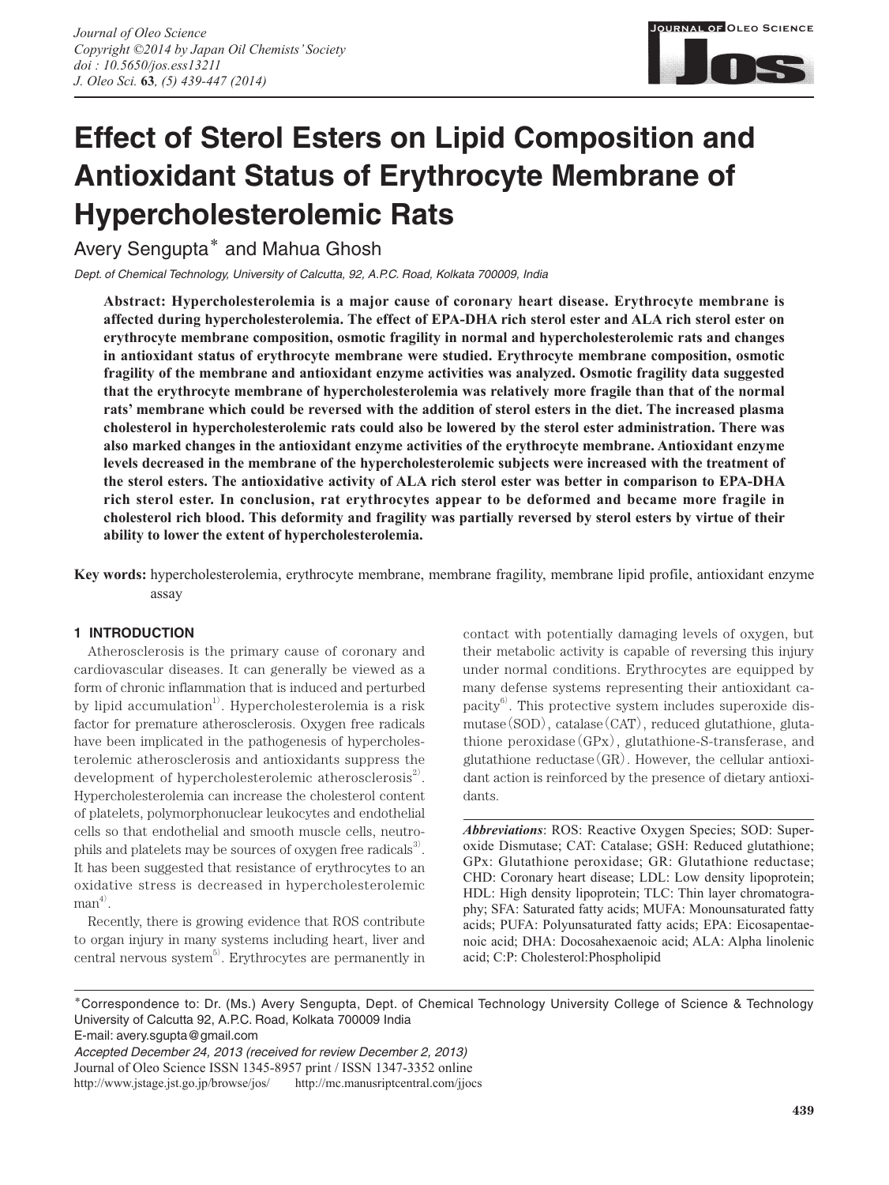

# **Effect of Sterol Esters on Lipid Composition and Antioxidant Status of Erythrocyte Membrane of Hypercholesterolemic Rats**

Avery Sengupta**\*** and Mahua Ghosh

*Dept. of Chemical Technology, University of Calcutta, 92, A.P.C. Road, Kolkata 700009, India*

**Abstract: Hypercholesterolemia is a major cause of coronary heart disease. Erythrocyte membrane is affected during hypercholesterolemia. The effect of EPA-DHA rich sterol ester and ALA rich sterol ester on erythrocyte membrane composition, osmotic fragility in normal and hypercholesterolemic rats and changes in antioxidant status of erythrocyte membrane were studied. Erythrocyte membrane composition, osmotic fragility of the membrane and antioxidant enzyme activities was analyzed. Osmotic fragility data suggested that the erythrocyte membrane of hypercholesterolemia was relatively more fragile than that of the normal rats' membrane which could be reversed with the addition of sterol esters in the diet. The increased plasma cholesterol in hypercholesterolemic rats could also be lowered by the sterol ester administration. There was also marked changes in the antioxidant enzyme activities of the erythrocyte membrane. Antioxidant enzyme levels decreased in the membrane of the hypercholesterolemic subjects were increased with the treatment of the sterol esters. The antioxidative activity of ALA rich sterol ester was better in comparison to EPA-DHA rich sterol ester. In conclusion, rat erythrocytes appear to be deformed and became more fragile in cholesterol rich blood. This deformity and fragility was partially reversed by sterol esters by virtue of their ability to lower the extent of hypercholesterolemia.**

**Key words:** hypercholesterolemia, erythrocyte membrane, membrane fragility, membrane lipid profile, antioxidant enzyme assay

## **1 INTRODUCTION**

Atherosclerosis is the primary cause of coronary and cardiovascular diseases. It can generally be viewed as a form of chronic inflammation that is induced and perturbed by lipid accumulation<sup>1)</sup>. Hypercholesterolemia is a risk factor for premature atherosclerosis. Oxygen free radicals have been implicated in the pathogenesis of hypercholesterolemic atherosclerosis and antioxidants suppress the development of hypercholesterolemic atherosclerosis<sup>2</sup>. Hypercholesterolemia can increase the cholesterol content of platelets, polymorphonuclear leukocytes and endothelial cells so that endothelial and smooth muscle cells, neutrophils and platelets may be sources of oxygen free radicals $^3$ . It has been suggested that resistance of erythrocytes to an oxidative stress is decreased in hypercholesterolemic  $man^{4)}$ .

Recently, there is growing evidence that ROS contribute to organ injury in many systems including heart, liver and central nervous system<sup>5)</sup>. Erythrocytes are permanently in

contact with potentially damaging levels of oxygen, but their metabolic activity is capable of reversing this injury under normal conditions. Erythrocytes are equipped by many defense systems representing their antioxidant capacity<sup>6</sup>. This protective system includes superoxide dismutase(SOD), catalase(CAT), reduced glutathione, glutathione peroxidase(GPx), glutathione-S-transferase, and glutathione reductase(GR). However, the cellular antioxidant action is reinforced by the presence of dietary antioxidants.

*Abbreviations*: ROS: Reactive Oxygen Species; SOD: Superoxide Dismutase; CAT: Catalase; GSH: Reduced glutathione; GPx: Glutathione peroxidase; GR: Glutathione reductase; CHD: Coronary heart disease; LDL: Low density lipoprotein; HDL: High density lipoprotein; TLC: Thin layer chromatography; SFA: Saturated fatty acids; MUFA: Monounsaturated fatty acids; PUFA: Polyunsaturated fatty acids; EPA: Eicosapentaenoic acid; DHA: Docosahexaenoic acid; ALA: Alpha linolenic acid; C:P: Cholesterol:Phospholipid

**\***Correspondence to: Dr. (Ms.) Avery Sengupta, Dept. of Chemical Technology University College of Science & Technology University of Calcutta 92, A.P.C. Road, Kolkata 700009 India

E-mail: avery.sgupta@gmail.com

Journal of Oleo Science ISSN 1345-8957 print / ISSN 1347-3352 online http://www.jstage.jst.go.jp/browse/jos/ http://mc.manusriptcentral.com/jjocs

*Accepted December 24, 2013 (received for review December 2, 2013)*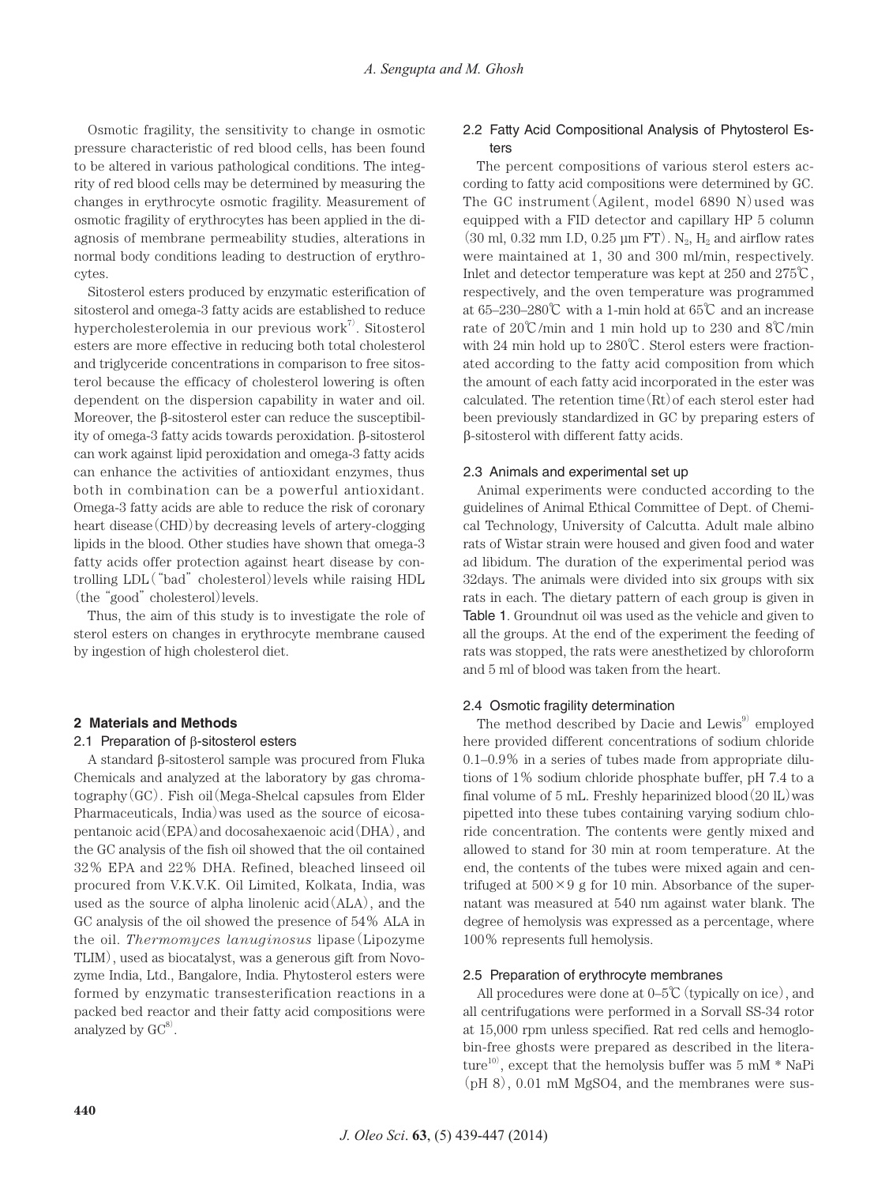Osmotic fragility, the sensitivity to change in osmotic pressure characteristic of red blood cells, has been found to be altered in various pathological conditions. The integrity of red blood cells may be determined by measuring the changes in erythrocyte osmotic fragility. Measurement of osmotic fragility of erythrocytes has been applied in the diagnosis of membrane permeability studies, alterations in normal body conditions leading to destruction of erythrocytes.

Sitosterol esters produced by enzymatic esterification of sitosterol and omega-3 fatty acids are established to reduce hypercholesterolemia in our previous work<sup>7)</sup>. Sitosterol esters are more effective in reducing both total cholesterol and triglyceride concentrations in comparison to free sitosterol because the efficacy of cholesterol lowering is often dependent on the dispersion capability in water and oil. Moreover, the β-sitosterol ester can reduce the susceptibility of omega-3 fatty acids towards peroxidation. β-sitosterol can work against lipid peroxidation and omega-3 fatty acids can enhance the activities of antioxidant enzymes, thus both in combination can be a powerful antioxidant. Omega-3 fatty acids are able to reduce the risk of coronary heart disease(CHD)by decreasing levels of artery-clogging lipids in the blood. Other studies have shown that omega-3 fatty acids offer protection against heart disease by controlling LDL("bad" cholesterol)levels while raising HDL (the "good" cholesterol) levels.

Thus, the aim of this study is to investigate the role of sterol esters on changes in erythrocyte membrane caused by ingestion of high cholesterol diet.

#### **2 Materials and Methods**

#### 2.1 Preparation of β-sitosterol esters

A standard β-sitosterol sample was procured from Fluka Chemicals and analyzed at the laboratory by gas chroma $to$ graphy $(GC)$ . Fish oil $(Mega-Shelcal\text{ capsules from Elder})$ Pharmaceuticals, India)was used as the source of eicosapentanoic acid(EPA)and docosahexaenoic acid(DHA), and the GC analysis of the fish oil showed that the oil contained 32% EPA and 22% DHA. Refined, bleached linseed oil procured from V.K.V.K. Oil Limited, Kolkata, India, was used as the source of alpha linolenic acid(ALA), and the GC analysis of the oil showed the presence of 54% ALA in the oil. *Thermomyces lanuginosus* lipase(Lipozyme TLIM), used as biocatalyst, was a generous gift from Novozyme India, Ltd., Bangalore, India. Phytosterol esters were formed by enzymatic transesterification reactions in a packed bed reactor and their fatty acid compositions were analyzed by  $\mathrm{GC}^{8}$ .

# 2.2 Fatty Acid Compositional Analysis of Phytosterol Esters

The percent compositions of various sterol esters according to fatty acid compositions were determined by GC. The GC instrument (Agilent, model  $6890$  N) used was equipped with a FID detector and capillary HP 5 column  $(30 \text{ ml}, 0.32 \text{ mm } I.D, 0.25 \text{ µm } FT)$ . N<sub>2</sub>, H<sub>2</sub> and airflow rates were maintained at 1, 30 and 300 ml/min, respectively. Inlet and detector temperature was kept at 250 and 275℃, respectively, and the oven temperature was programmed at 65–230–280℃ with a 1-min hold at 65℃ and an increase rate of 20℃/min and 1 min hold up to 230 and 8℃/min with 24 min hold up to 280℃. Sterol esters were fractionated according to the fatty acid composition from which the amount of each fatty acid incorporated in the ester was calculated. The retention time $(Rt)$  of each sterol ester had been previously standardized in GC by preparing esters of β-sitosterol with different fatty acids.

#### 2.3 Animals and experimental set up

Animal experiments were conducted according to the guidelines of Animal Ethical Committee of Dept. of Chemical Technology, University of Calcutta. Adult male albino rats of Wistar strain were housed and given food and water ad libidum. The duration of the experimental period was 32days. The animals were divided into six groups with six rats in each. The dietary pattern of each group is given in Table 1. Groundnut oil was used as the vehicle and given to all the groups. At the end of the experiment the feeding of rats was stopped, the rats were anesthetized by chloroform and 5 ml of blood was taken from the heart.

## 2.4 Osmotic fragility determination

The method described by Dacie and Lewis<sup>9)</sup> employed here provided different concentrations of sodium chloride 0.1–0.9% in a series of tubes made from appropriate dilutions of 1% sodium chloride phosphate buffer, pH 7.4 to a final volume of 5 mL. Freshly heparinized blood $(20 \text{ IL})$  was pipetted into these tubes containing varying sodium chloride concentration. The contents were gently mixed and allowed to stand for 30 min at room temperature. At the end, the contents of the tubes were mixed again and centrifuged at  $500 \times 9$  g for 10 min. Absorbance of the supernatant was measured at 540 nm against water blank. The degree of hemolysis was expressed as a percentage, where 100% represents full hemolysis.

#### 2.5 Preparation of erythrocyte membranes

All procedures were done at  $0-5\degree$  (typically on ice), and all centrifugations were performed in a Sorvall SS-34 rotor at 15,000 rpm unless specified. Rat red cells and hemoglobin-free ghosts were prepared as described in the literature<sup>10</sup>, except that the hemolysis buffer was 5 mM  $*$  NaPi (pH 8), 0.01 mM MgSO4, and the membranes were sus-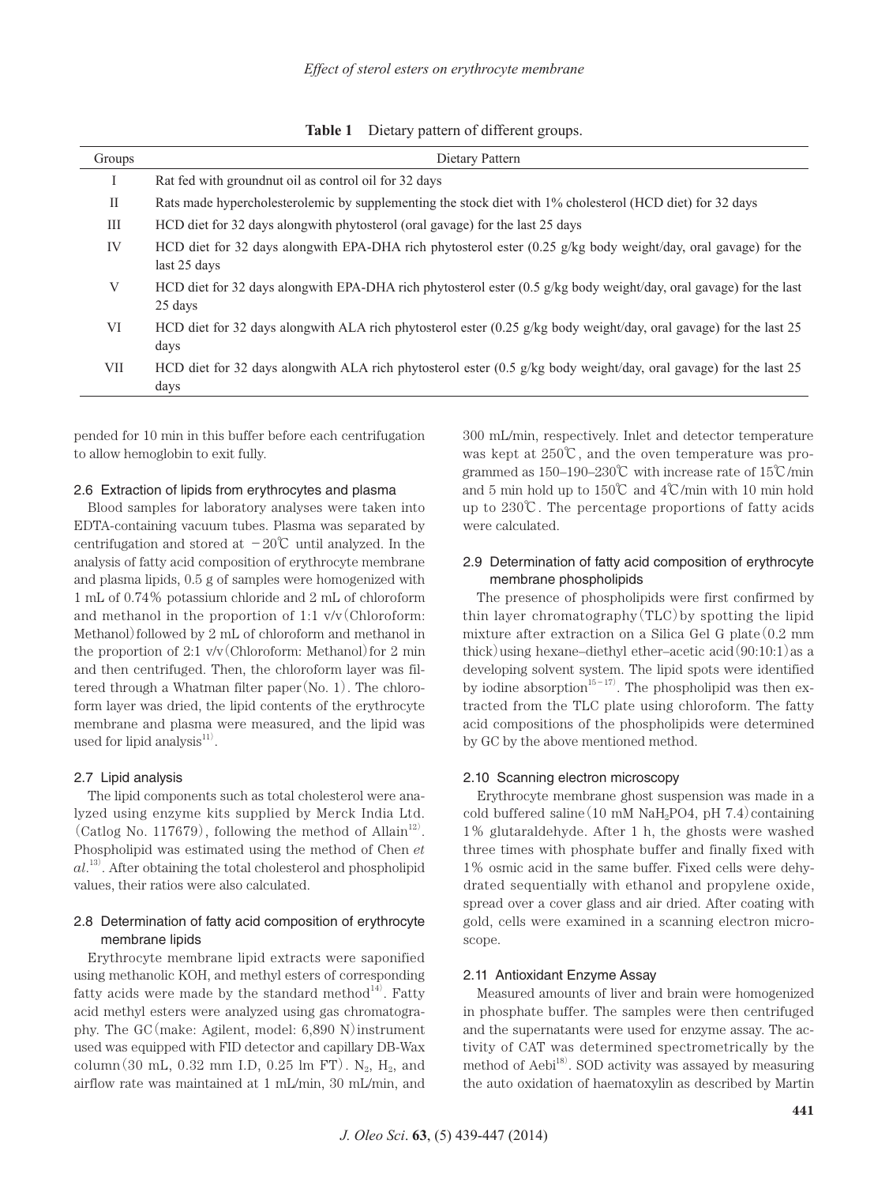**Table 1** Dietary pattern of different groups.

| Groups     | Dietary Pattern                                                                                                                          |
|------------|------------------------------------------------------------------------------------------------------------------------------------------|
|            | Rat fed with ground nut oil as control oil for 32 days                                                                                   |
| П          | Rats made hypercholesterolemic by supplementing the stock diet with 1% cholesterol (HCD diet) for 32 days                                |
| Ш          | HCD diet for 32 days alongwith phytosterol (oral gavage) for the last 25 days                                                            |
| IV         | HCD diet for 32 days alongwith EPA-DHA rich phytosterol ester $(0.25 \text{ g/kg}$ body weight/day, oral gavage) for the<br>last 25 days |
| V          | HCD diet for 32 days alongwith EPA-DHA rich phytosterol ester (0.5 g/kg body weight/day, oral gavage) for the last<br>25 days            |
| VI         | HCD diet for 32 days alongwith ALA rich phytosterol ester (0.25 g/kg body weight/day, oral gavage) for the last 25<br>days               |
| <b>VII</b> | HCD diet for 32 days alongwith ALA rich phytosterol ester (0.5 g/kg body weight/day, oral gavage) for the last 25<br>days                |

pended for 10 min in this buffer before each centrifugation to allow hemoglobin to exit fully.

## 2.6 Extraction of lipids from erythrocytes and plasma

Blood samples for laboratory analyses were taken into EDTA-containing vacuum tubes. Plasma was separated by centrifugation and stored at  $-20^{\circ}$ C until analyzed. In the analysis of fatty acid composition of erythrocyte membrane and plasma lipids, 0.5 g of samples were homogenized with 1 mL of 0.74% potassium chloride and 2 mL of chloroform and methanol in the proportion of 1:1  $v/v$  (Chloroform: Methanol) followed by 2 mL of chloroform and methanol in the proportion of 2:1  $v/v$  (Chloroform: Methanol) for 2 min and then centrifuged. Then, the chloroform layer was filtered through a Whatman filter paper(No. 1). The chloroform layer was dried, the lipid contents of the erythrocyte membrane and plasma were measured, and the lipid was used for lipid analysis<sup>11)</sup>.

#### 2.7 Lipid analysis

The lipid components such as total cholesterol were analyzed using enzyme kits supplied by Merck India Ltd. (Catlog No. 117679), following the method of Allain<sup>12)</sup>. Phospholipid was estimated using the method of Chen *et al*. 13) . After obtaining the total cholesterol and phospholipid values, their ratios were also calculated.

# 2.8 Determination of fatty acid composition of erythrocyte membrane lipids

Erythrocyte membrane lipid extracts were saponified using methanolic KOH, and methyl esters of corresponding fatty acids were made by the standard method $^{14)}$ . Fatty acid methyl esters were analyzed using gas chromatography. The GC(make: Agilent, model: 6,890 N)instrument used was equipped with FID detector and capillary DB-Wax column(30 mL, 0.32 mm I.D, 0.25 lm FT).  $N_2$ ,  $H_2$ , and airflow rate was maintained at 1 mL/min, 30 mL/min, and 300 mL/min, respectively. Inlet and detector temperature was kept at 250℃, and the oven temperature was programmed as 150–190–230℃ with increase rate of 15℃/min and 5 min hold up to 150℃ and 4℃/min with 10 min hold up to 230℃. The percentage proportions of fatty acids were calculated.

# 2.9 Determination of fatty acid composition of erythrocyte membrane phospholipids

The presence of phospholipids were first confirmed by thin layer chromatography(TLC)by spotting the lipid mixture after extraction on a Silica Gel G plate  $(0.2 \text{ mm})$ thick) using hexane–diethyl ether–acetic acid $(90:10:1)$  as a developing solvent system. The lipid spots were identified by iodine absorption<sup>15-17</sup>. The phospholipid was then extracted from the TLC plate using chloroform. The fatty acid compositions of the phospholipids were determined by GC by the above mentioned method.

#### 2.10 Scanning electron microscopy

Erythrocyte membrane ghost suspension was made in a cold buffered saline  $(10 \text{ mM } \text{NaH}_2\text{PO4}, \text{pH } 7.4)$ containing 1% glutaraldehyde. After 1 h, the ghosts were washed three times with phosphate buffer and finally fixed with 1% osmic acid in the same buffer. Fixed cells were dehydrated sequentially with ethanol and propylene oxide, spread over a cover glass and air dried. After coating with gold, cells were examined in a scanning electron microscope.

## 2.11 Antioxidant Enzyme Assay

Measured amounts of liver and brain were homogenized in phosphate buffer. The samples were then centrifuged and the supernatants were used for enzyme assay. The activity of CAT was determined spectrometrically by the method of Aebi<sup>18)</sup>. SOD activity was assayed by measuring the auto oxidation of haematoxylin as described by Martin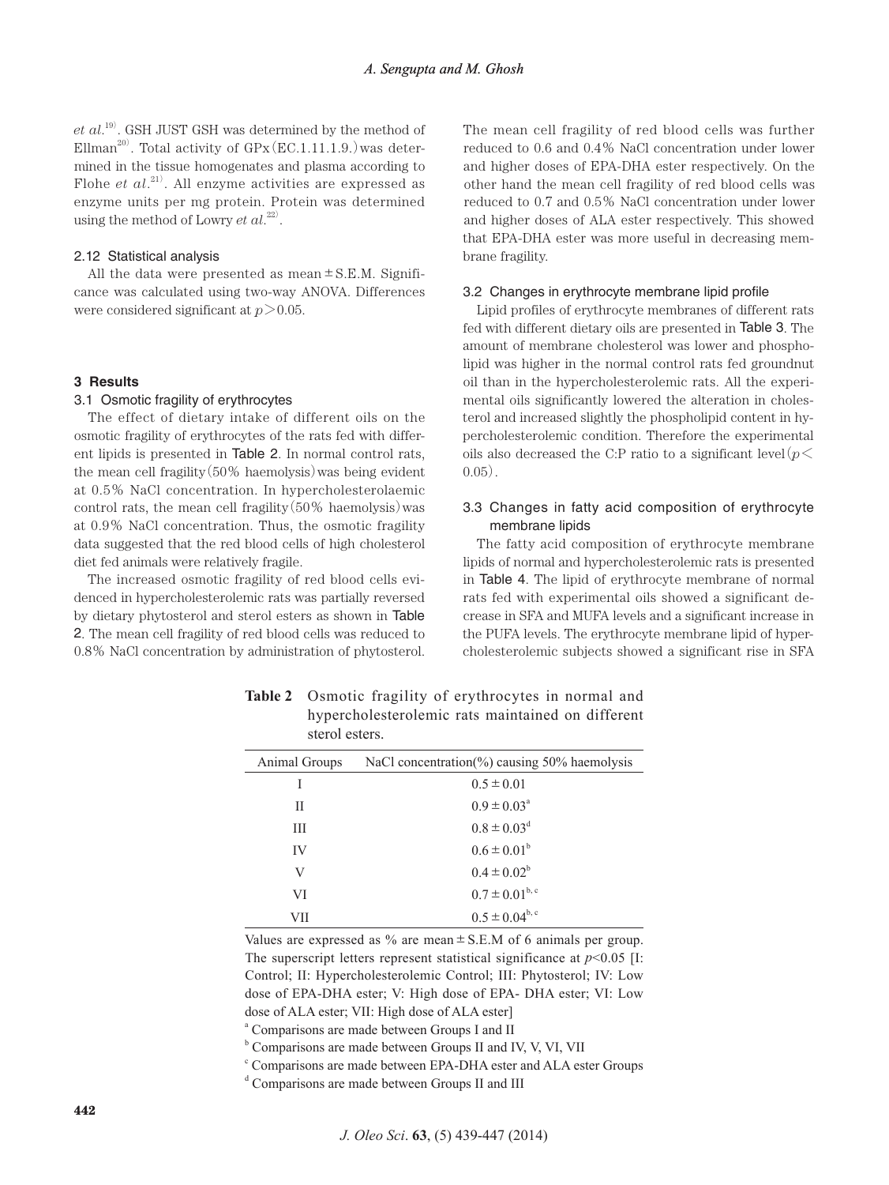*et al*. 19) . GSH JUST GSH was determined by the method of Ellman $^{20)}$ . Total activity of GPx(EC.1.11.1.9.) was determined in the tissue homogenates and plasma according to Flohe *et al*. 21) . All enzyme activities are expressed as enzyme units per mg protein. Protein was determined using the method of Lowry  $et$   $al.^{22}$ .

#### 2.12 Statistical analysis

All the data were presented as mean  $\pm$  S.E.M. Significance was calculated using two-way ANOVA. Differences were considered significant at *p*>0.05.

#### **3 Results**

#### 3.1 Osmotic fragility of erythrocytes

The effect of dietary intake of different oils on the osmotic fragility of erythrocytes of the rats fed with different lipids is presented in Table 2. In normal control rats, the mean cell fragility(50% haemolysis)was being evident at 0.5% NaCl concentration. In hypercholesterolaemic control rats, the mean cell fragility  $(50\%$  haemolysis) was at 0.9% NaCl concentration. Thus, the osmotic fragility data suggested that the red blood cells of high cholesterol diet fed animals were relatively fragile.

The increased osmotic fragility of red blood cells evidenced in hypercholesterolemic rats was partially reversed by dietary phytosterol and sterol esters as shown in Table 2. The mean cell fragility of red blood cells was reduced to 0.8% NaCl concentration by administration of phytosterol. The mean cell fragility of red blood cells was further reduced to 0.6 and 0.4% NaCl concentration under lower and higher doses of EPA-DHA ester respectively. On the other hand the mean cell fragility of red blood cells was reduced to 0.7 and 0.5% NaCl concentration under lower and higher doses of ALA ester respectively. This showed that EPA-DHA ester was more useful in decreasing membrane fragility.

## 3.2 Changes in erythrocyte membrane lipid profile

Lipid profiles of erythrocyte membranes of different rats fed with different dietary oils are presented in Table 3. The amount of membrane cholesterol was lower and phospholipid was higher in the normal control rats fed groundnut oil than in the hypercholesterolemic rats. All the experimental oils significantly lowered the alteration in cholesterol and increased slightly the phospholipid content in hypercholesterolemic condition. Therefore the experimental oils also decreased the C:P ratio to a significant level  $(p<$  $0.05$ ).

# 3.3 Changes in fatty acid composition of erythrocyte membrane lipids

The fatty acid composition of erythrocyte membrane lipids of normal and hypercholesterolemic rats is presented in Table 4. The lipid of erythrocyte membrane of normal rats fed with experimental oils showed a significant decrease in SFA and MUFA levels and a significant increase in the PUFA levels. The erythrocyte membrane lipid of hypercholesterolemic subjects showed a significant rise in SFA

| Animal Groups | NaCl concentration(%) causing $50\%$ haemolysis |
|---------------|-------------------------------------------------|
| I             | $0.5 \pm 0.01$                                  |
| Н             | $0.9 \pm 0.03^{\circ}$                          |
| Ш             | $0.8 \pm 0.03$ <sup>d</sup>                     |
| IV            | $0.6 \pm 0.01^b$                                |
| V             | $0.4 \pm 0.02^b$                                |
| VI            | $0.7 \pm 0.01^{b,c}$                            |
| VII           | $0.5 \pm 0.04^{b,c}$                            |

**Table 2** Osmotic fragility of erythrocytes in normal and hypercholesterolemic rats maintained on different sterol esters.

Values are expressed as  $\%$  are mean  $\pm$  S.E.M of 6 animals per group. The superscript letters represent statistical significance at  $p<0.05$  [I: Control; II: Hypercholesterolemic Control; III: Phytosterol; IV: Low dose of EPA-DHA ester; V: High dose of EPA- DHA ester; VI: Low dose of ALA ester; VII: High dose of ALA ester]

<sup>a</sup> Comparisons are made between Groups I and II

 $b$  Comparisons are made between Groups II and IV, V, VI, VII

<sup>c</sup> Comparisons are made between EPA-DHA ester and ALA ester Groups

<sup>d</sup> Comparisons are made between Groups II and III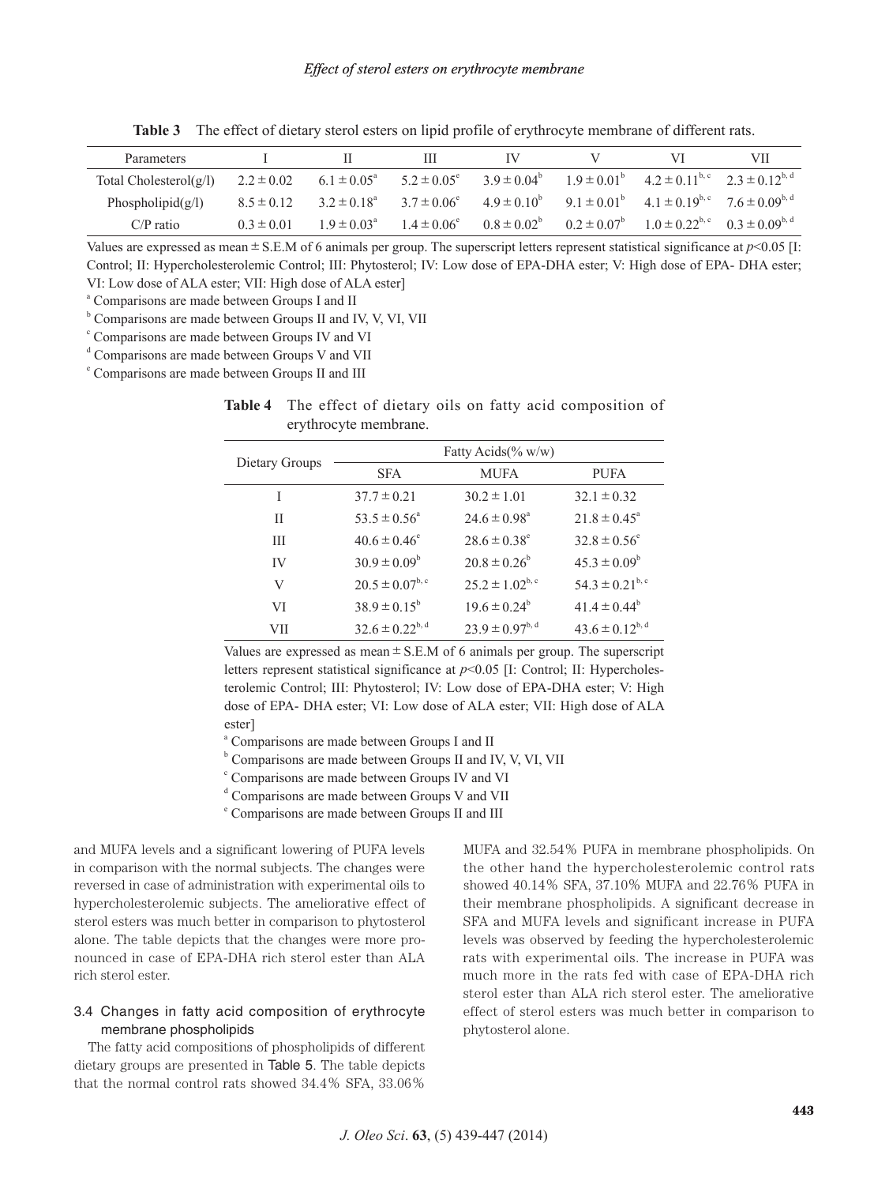| Parameters                |                |                        | Ш                      |  |                                                                                                                                               | VII |
|---------------------------|----------------|------------------------|------------------------|--|-----------------------------------------------------------------------------------------------------------------------------------------------|-----|
| Total Cholesterol $(g/l)$ | $2.2 \pm 0.02$ | $6.1 \pm 0.05^{\circ}$ |                        |  | $5.2 \pm 0.05^{\circ}$ $3.9 \pm 0.04^{\circ}$ $1.9 \pm 0.01^{\circ}$ $4.2 \pm 0.11^{\circ}$ , $2.3 \pm 0.12^{\circ}$ , $4.2 \pm 0.11^{\circ}$ |     |
| Phospholipid $(g/l)$      | $8.5 \pm 0.12$ | 3 2 ± 0 $18^{\circ}$   |                        |  | $3.7 \pm 0.06^e$ $4.9 \pm 0.10^b$ $9.1 \pm 0.01^b$ $4.1 \pm 0.19^{b,c}$ $7.6 \pm 0.09^{b,d}$                                                  |     |
| $C/P$ ratio               | $0.3 \pm 0.01$ | $1.9 \pm 0.03^{\circ}$ | $1.4 \pm 0.06^{\circ}$ |  | $0.8 \pm 0.02^b$ $0.2 \pm 0.07^b$ $1.0 \pm 0.22^{b,c}$ $0.3 \pm 0.09^{b,d}$                                                                   |     |

**Table 3** The effect of dietary sterol esters on lipid profile of erythrocyte membrane of different rats.

Values are expressed as mean±S.E.M of 6 animals per group. The superscript letters represent statistical significance at *p*<0.05 [I: Control; II: Hypercholesterolemic Control; III: Phytosterol; IV: Low dose of EPA-DHA ester; V: High dose of EPA- DHA ester; VI: Low dose of ALA ester; VII: High dose of ALA ester]

<sup>a</sup> Comparisons are made between Groups I and II

<sup>b</sup> Comparisons are made between Groups II and IV, V, VI, VII

<sup>c</sup> Comparisons are made between Groups IV and VI

<sup>d</sup> Comparisons are made between Groups V and VII

<sup>e</sup> Comparisons are made between Groups II and III

|                       |  |  |  |  | <b>Table 4</b> The effect of dietary oils on fatty acid composition of |  |
|-----------------------|--|--|--|--|------------------------------------------------------------------------|--|
| erythrocyte membrane. |  |  |  |  |                                                                        |  |

|                | Fatty Acids $(\% w/w)$  |                              |                         |  |  |  |
|----------------|-------------------------|------------------------------|-------------------------|--|--|--|
| Dietary Groups | <b>SFA</b>              | <b>MUFA</b>                  | <b>PUFA</b>             |  |  |  |
| I              | $37.7 \pm 0.21$         | $30.2 \pm 1.01$              | $32.1 \pm 0.32$         |  |  |  |
| Н              | $53.5 \pm 0.56^{\circ}$ | $24.6 \pm 0.98$ <sup>a</sup> | $21.8 \pm 0.45^{\circ}$ |  |  |  |
| Ш              | $40.6 \pm 0.46^{\circ}$ | $28.6 \pm 0.38^{\circ}$      | $32.8 \pm 0.56^{\circ}$ |  |  |  |
| IV             | $30.9 \pm 0.09^b$       | $20.8 \pm 0.26^{\circ}$      | $45.3 \pm 0.09^b$       |  |  |  |
| V              | $20.5 \pm 0.07^{b,c}$   | $25.2 \pm 1.02^{b,c}$        | $54.3 \pm 0.21^{b,c}$   |  |  |  |
| VI             | $38.9 \pm 0.15^{\circ}$ | $19.6 \pm 0.24^b$            | $41.4 \pm 0.44^b$       |  |  |  |
| VII            | $32.6 \pm 0.22^{b,d}$   | $23.9 \pm 0.97^{b,d}$        | $43.6 \pm 0.12^{b,d}$   |  |  |  |

Values are expressed as mean  $\pm$  S.E.M of 6 animals per group. The superscript letters represent statistical significance at *p*<0.05 [I: Control; II: Hypercholesterolemic Control; III: Phytosterol; IV: Low dose of EPA-DHA ester; V: High dose of EPA- DHA ester; VI: Low dose of ALA ester; VII: High dose of ALA ester]

<sup>a</sup> Comparisons are made between Groups I and II

 $b$  Comparisons are made between Groups II and IV, V, VI, VII

<sup>c</sup> Comparisons are made between Groups IV and VI

<sup>d</sup> Comparisons are made between Groups V and VII

<sup>e</sup> Comparisons are made between Groups II and III

and MUFA levels and a significant lowering of PUFA levels in comparison with the normal subjects. The changes were reversed in case of administration with experimental oils to hypercholesterolemic subjects. The ameliorative effect of sterol esters was much better in comparison to phytosterol alone. The table depicts that the changes were more pronounced in case of EPA-DHA rich sterol ester than ALA rich sterol ester.

# 3.4 Changes in fatty acid composition of erythrocyte membrane phospholipids

The fatty acid compositions of phospholipids of different dietary groups are presented in Table 5. The table depicts that the normal control rats showed 34.4% SFA, 33.06% MUFA and 32.54% PUFA in membrane phospholipids. On the other hand the hypercholesterolemic control rats showed 40.14% SFA, 37.10% MUFA and 22.76% PUFA in their membrane phospholipids. A significant decrease in SFA and MUFA levels and significant increase in PUFA levels was observed by feeding the hypercholesterolemic rats with experimental oils. The increase in PUFA was much more in the rats fed with case of EPA-DHA rich sterol ester than ALA rich sterol ester. The ameliorative effect of sterol esters was much better in comparison to phytosterol alone.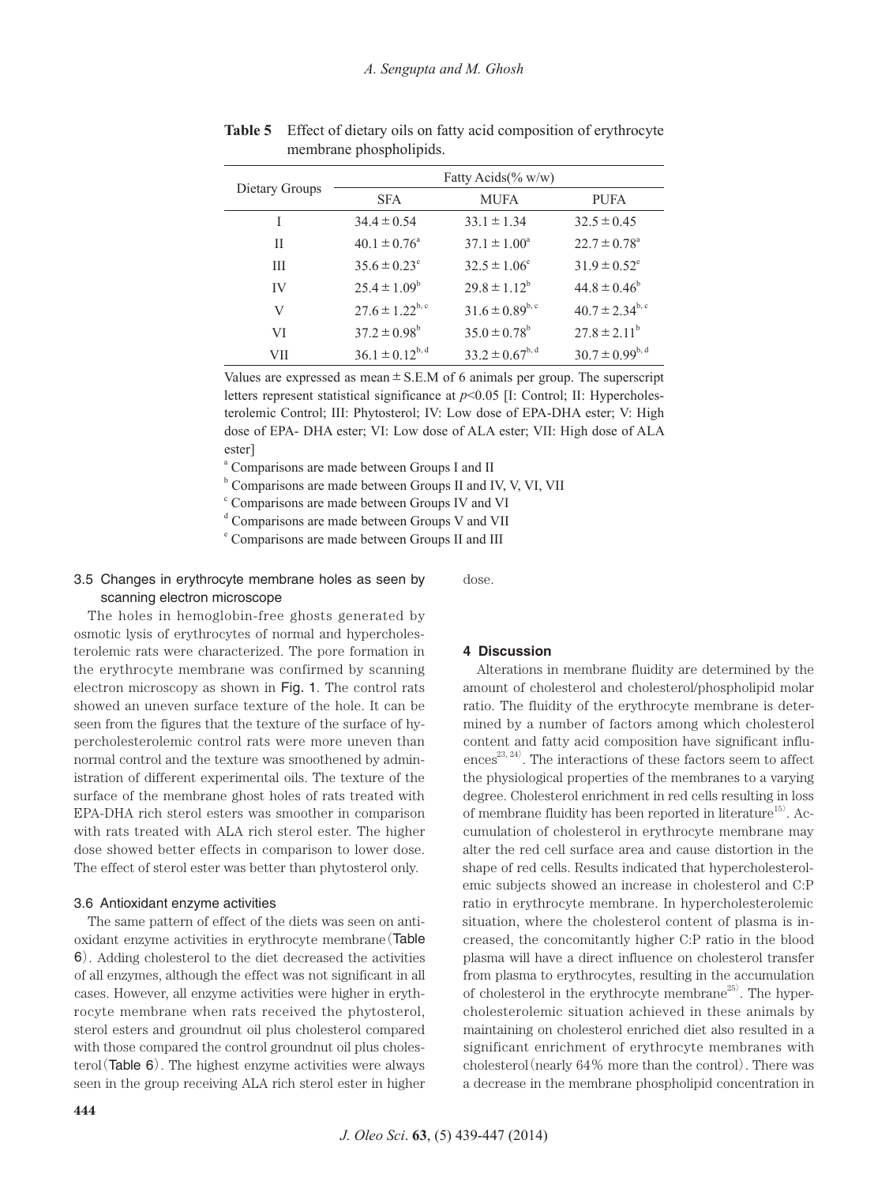|                | Fatty Acids $(\% w/w)$  |                         |                                |  |  |  |
|----------------|-------------------------|-------------------------|--------------------------------|--|--|--|
| Dietary Groups | <b>SFA</b>              | <b>MUFA</b>             | <b>PUFA</b>                    |  |  |  |
| I              | $34.4 \pm 0.54$         | $33.1 \pm 1.34$         | $32.5 \pm 0.45$                |  |  |  |
| Н              | $40.1 \pm 0.76^{\circ}$ | $37.1 \pm 1.00^4$       | $22.7 \pm 0.78^{\circ}$        |  |  |  |
| Ш              | $35.6 \pm 0.23^{\circ}$ | $32.5 \pm 1.06^{\circ}$ | $31.9 \pm 0.52^{\circ}$        |  |  |  |
| IV             | $25.4 \pm 1.09^b$       | $29.8 \pm 1.12^b$       | $44.8 \pm 0.46^{\circ}$        |  |  |  |
| V              | $27.6 \pm 1.22^{b,c}$   | $31.6 \pm 0.89^{b,c}$   | $40.7 \pm 2.34^{\mathrm{b,c}}$ |  |  |  |
| VI             | $37.2 \pm 0.98^{\circ}$ | $35.0 \pm 0.78^{\circ}$ | $27.8 \pm 2.11^b$              |  |  |  |
| VП             | $36.1 \pm 0.12^{b,d}$   | $33.2 \pm 0.67^{b,d}$   | $30.7 \pm 0.99^{b,d}$          |  |  |  |

**Table 5** Effect of dietary oils on fatty acid composition of erythrocyte membrane phospholipids.

Values are expressed as mean  $\pm$  S.E.M of 6 animals per group. The superscript letters represent statistical significance at *p*<0.05 [I: Control; II: Hypercholesterolemic Control; III: Phytosterol; IV: Low dose of EPA-DHA ester; V: High dose of EPA- DHA ester; VI: Low dose of ALA ester; VII: High dose of ALA ester]

<sup>a</sup> Comparisons are made between Groups I and II

<sup>b</sup> Comparisons are made between Groups II and IV, V, VI, VII

<sup>c</sup> Comparisons are made between Groups IV and VI

<sup>d</sup> Comparisons are made between Groups V and VII

<sup>e</sup> Comparisons are made between Groups II and III

# 3.5 Changes in erythrocyte membrane holes as seen by scanning electron microscope

dose.

The holes in hemoglobin-free ghosts generated by osmotic lysis of erythrocytes of normal and hypercholesterolemic rats were characterized. The pore formation in the erythrocyte membrane was confirmed by scanning electron microscopy as shown in Fig. 1. The control rats showed an uneven surface texture of the hole. It can be seen from the figures that the texture of the surface of hypercholesterolemic control rats were more uneven than normal control and the texture was smoothened by administration of different experimental oils. The texture of the surface of the membrane ghost holes of rats treated with EPA-DHA rich sterol esters was smoother in comparison with rats treated with ALA rich sterol ester. The higher dose showed better effects in comparison to lower dose. The effect of sterol ester was better than phytosterol only.

#### 3.6 Antioxidant enzyme activities

The same pattern of effect of the diets was seen on antioxidant enzyme activities in erythrocyte membrane(Table 6). Adding cholesterol to the diet decreased the activities of all enzymes, although the effect was not significant in all cases. However, all enzyme activities were higher in erythrocyte membrane when rats received the phytosterol, sterol esters and groundnut oil plus cholesterol compared with those compared the control groundnut oil plus cholesterol (Table  $6$ ). The highest enzyme activities were always seen in the group receiving ALA rich sterol ester in higher

#### **4 Discussion**

Alterations in membrane fluidity are determined by the amount of cholesterol and cholesterol/phospholipid molar ratio. The fluidity of the erythrocyte membrane is determined by a number of factors among which cholesterol content and fatty acid composition have significant influences 23, 24) . The interactions of these factors seem to affect the physiological properties of the membranes to a varying degree. Cholesterol enrichment in red cells resulting in loss of membrane fluidity has been reported in literature<sup>15)</sup>. Accumulation of cholesterol in erythrocyte membrane may alter the red cell surface area and cause distortion in the shape of red cells. Results indicated that hypercholesterolemic subjects showed an increase in cholesterol and C:P ratio in erythrocyte membrane. In hypercholesterolemic situation, where the cholesterol content of plasma is increased, the concomitantly higher C:P ratio in the blood plasma will have a direct influence on cholesterol transfer from plasma to erythrocytes, resulting in the accumulation of cholesterol in the erythrocyte membrane<sup>25)</sup>. The hypercholesterolemic situation achieved in these animals by maintaining on cholesterol enriched diet also resulted in a significant enrichment of erythrocyte membranes with cholesterol (nearly  $64\%$  more than the control). There was a decrease in the membrane phospholipid concentration in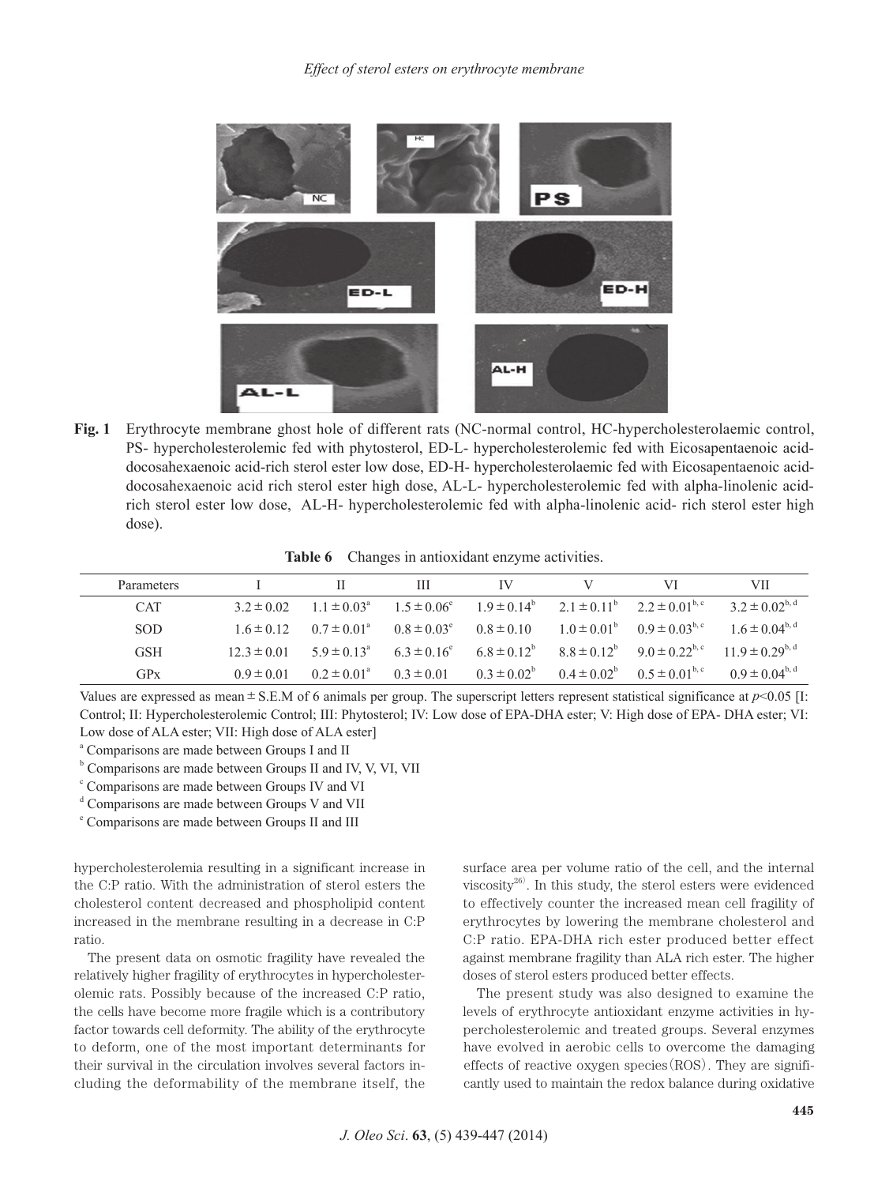

**Fig. 1** Erythrocyte membrane ghost hole of different rats (NC-normal control, HC-hypercholesterolaemic control, PS- hypercholesterolemic fed with phytosterol, ED-L- hypercholesterolemic fed with Eicosapentaenoic aciddocosahexaenoic acid-rich sterol ester low dose, ED-H- hypercholesterolaemic fed with Eicosapentaenoic aciddocosahexaenoic acid rich sterol ester high dose, AL-L- hypercholesterolemic fed with alpha-linolenic acidrich sterol ester low dose, AL-H- hypercholesterolemic fed with alpha-linolenic acid- rich sterol ester high dose).

**Table 6** Changes in antioxidant enzyme activities.

| Parameters |                 |                                               | Ш                                                                                                                  | IV                     | VI                                            | VII                                                         |
|------------|-----------------|-----------------------------------------------|--------------------------------------------------------------------------------------------------------------------|------------------------|-----------------------------------------------|-------------------------------------------------------------|
| <b>CAT</b> | $3.2 \pm 0.02$  |                                               | $1.1 \pm 0.03^{\circ}$ $1.5 \pm 0.06^{\circ}$ $1.9 \pm 0.14^{\circ}$ $2.1 \pm 0.11^{\circ}$ $2.2 \pm 0.01^{\circ}$ |                        |                                               | 3 2 ± 0 02 <sup>b, d</sup>                                  |
| <b>SOD</b> | $16 \pm 012$    | $0.7 \pm 0.01^{\circ}$ $0.8 \pm 0.03^{\circ}$ |                                                                                                                    | $0.8 \pm 0.10$         | $1.0 \pm 0.01^{\circ}$ $0.9 \pm 0.03^{\circ}$ | $1.6 \pm 0.04^{b,d}$                                        |
| <b>GSH</b> | $12.3 \pm 0.01$ |                                               | $5.9 \pm 0.13^a$ $6.3 \pm 0.16^e$                                                                                  | $6.8 \pm 0.12^b$       |                                               | $8.8 \pm 0.12^b$ $9.0 \pm 0.22^{b,c}$ $11.9 \pm 0.29^{b,d}$ |
| GPx        | $0.9 \pm 0.01$  | $0.2 \pm 0.01^a$ $0.3 \pm 0.01$               |                                                                                                                    | $0.3 \pm 0.02^{\circ}$ | $0.4 \pm 0.02^{\circ}$ $0.5 \pm 0.01^{\circ}$ | $0.9 \pm 0.04^{\rm b,d}$                                    |

Values are expressed as mean±S.E.M of 6 animals per group. The superscript letters represent statistical significance at *p*<0.05 [I: Control; II: Hypercholesterolemic Control; III: Phytosterol; IV: Low dose of EPA-DHA ester; V: High dose of EPA- DHA ester; VI: Low dose of ALA ester; VII: High dose of ALA ester]

<sup>a</sup> Comparisons are made between Groups I and II

 $b$  Comparisons are made between Groups II and IV, V, VI, VII

<sup>c</sup> Comparisons are made between Groups IV and VI

<sup>d</sup> Comparisons are made between Groups V and VII

<sup>e</sup> Comparisons are made between Groups II and III

hypercholesterolemia resulting in a significant increase in the C:P ratio. With the administration of sterol esters the cholesterol content decreased and phospholipid content increased in the membrane resulting in a decrease in C:P ratio.

The present data on osmotic fragility have revealed the relatively higher fragility of erythrocytes in hypercholesterolemic rats. Possibly because of the increased C:P ratio, the cells have become more fragile which is a contributory factor towards cell deformity. The ability of the erythrocyte to deform, one of the most important determinants for their survival in the circulation involves several factors including the deformability of the membrane itself, the surface area per volume ratio of the cell, and the internal viscosity $^{26)}$ . In this study, the sterol esters were evidenced to effectively counter the increased mean cell fragility of erythrocytes by lowering the membrane cholesterol and C:P ratio. EPA-DHA rich ester produced better effect against membrane fragility than ALA rich ester. The higher doses of sterol esters produced better effects.

The present study was also designed to examine the levels of erythrocyte antioxidant enzyme activities in hypercholesterolemic and treated groups. Several enzymes have evolved in aerobic cells to overcome the damaging effects of reactive oxygen species  $(ROS)$ . They are significantly used to maintain the redox balance during oxidative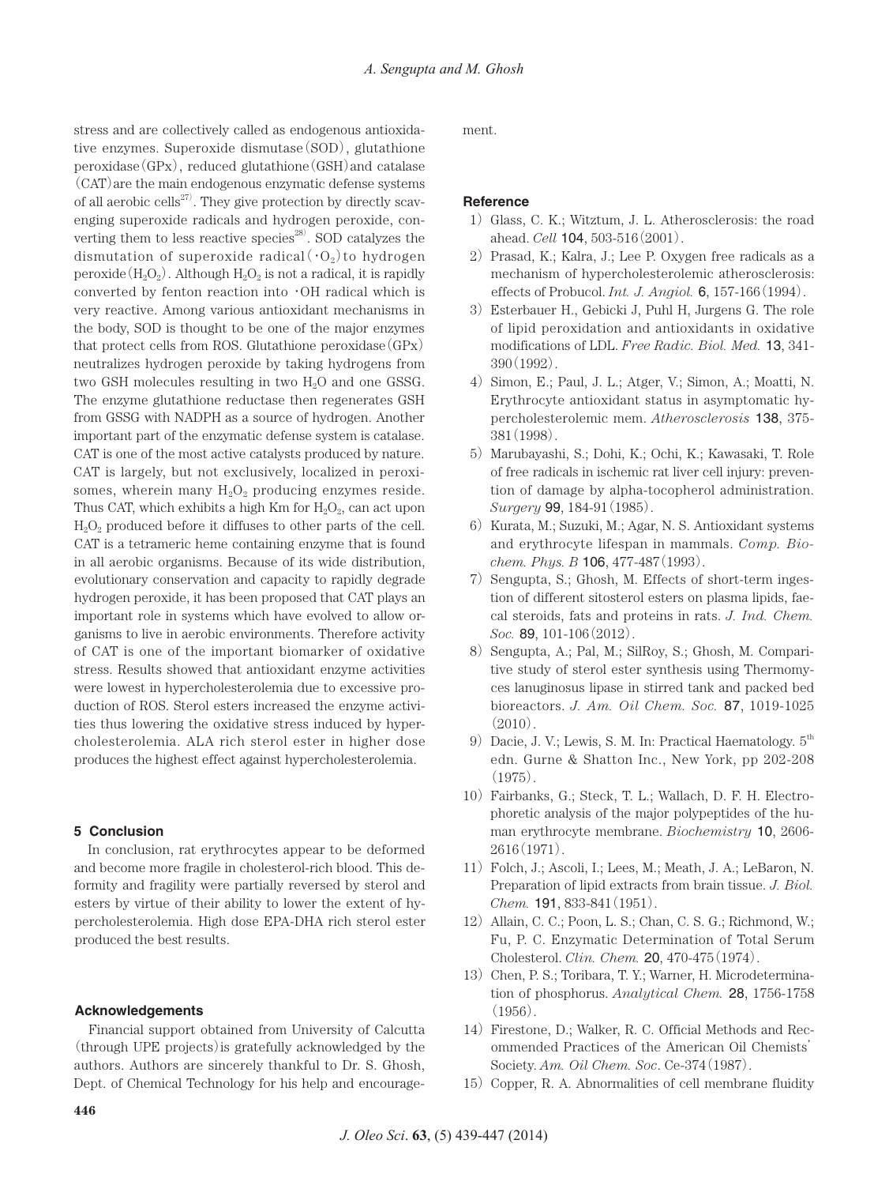stress and are collectively called as endogenous antioxidative enzymes. Superoxide dismutase(SOD), glutathione  $peroxidase(GPx)$ , reduced glutathione  $(GSH)$  and catalase (CAT)are the main endogenous enzymatic defense systems of all aerobic cells 27) . They give protection by directly scavenging superoxide radicals and hydrogen peroxide, converting them to less reactive species 28) . SOD catalyzes the dismutation of superoxide radical  $\langle \cdot \, O_{2} \rangle$  to hydrogen peroxide  $(H_2O_2)$ . Although  $H_2O_2$  is not a radical, it is rapidly converted by fenton reaction into・OH radical which is very reactive. Among various antioxidant mechanisms in the body, SOD is thought to be one of the major enzymes that protect cells from ROS. Glutathione peroxidase  $(GPx)$ neutralizes hydrogen peroxide by taking hydrogens from two GSH molecules resulting in two  $H_2O$  and one GSSG. The enzyme glutathione reductase then regenerates GSH from GSSG with NADPH as a source of hydrogen. Another important part of the enzymatic defense system is catalase. CAT is one of the most active catalysts produced by nature. CAT is largely, but not exclusively, localized in peroxisomes, wherein many  $H_2O_2$  producing enzymes reside. Thus CAT, which exhibits a high Km for  $H_2O_2$ , can act upon  $H<sub>2</sub>O<sub>2</sub>$  produced before it diffuses to other parts of the cell. CAT is a tetrameric heme containing enzyme that is found in all aerobic organisms. Because of its wide distribution, evolutionary conservation and capacity to rapidly degrade hydrogen peroxide, it has been proposed that CAT plays an important role in systems which have evolved to allow organisms to live in aerobic environments. Therefore activity of CAT is one of the important biomarker of oxidative stress. Results showed that antioxidant enzyme activities were lowest in hypercholesterolemia due to excessive production of ROS. Sterol esters increased the enzyme activities thus lowering the oxidative stress induced by hypercholesterolemia. ALA rich sterol ester in higher dose produces the highest effect against hypercholesterolemia.

## **5 Conclusion**

In conclusion, rat erythrocytes appear to be deformed and become more fragile in cholesterol-rich blood. This deformity and fragility were partially reversed by sterol and esters by virtue of their ability to lower the extent of hypercholesterolemia. High dose EPA-DHA rich sterol ester produced the best results.

## **Acknowledgements**

Financial support obtained from University of Calcutta (through UPE projects)is gratefully acknowledged by the authors. Authors are sincerely thankful to Dr. S. Ghosh, Dept. of Chemical Technology for his help and encouragement.

## **Reference**

- 1)Glass, C. K.; Witztum, J. L. Atherosclerosis: the road ahead. *Cell* 104, 503-516(2001).
- 2) Prasad, K.; Kalra, J.; Lee P. Oxygen free radicals as a mechanism of hypercholesterolemic atherosclerosis: effects of Probucol. *Int. J. Angiol.* 6, 157-166(1994).
- 3)Esterbauer H., Gebicki J, Puhl H, Jurgens G. The role of lipid peroxidation and antioxidants in oxidative modifications of LDL. *Free Radic. Biol. Med.* 13, 341- 390(1992).
- 4) Simon, E.; Paul, J. L.; Atger, V.; Simon, A.; Moatti, N. Erythrocyte antioxidant status in asymptomatic hypercholesterolemic mem. *Atherosclerosis* 138, 375- 381(1998).
- 5) Marubayashi, S.; Dohi, K.; Ochi, K.; Kawasaki, T. Role of free radicals in ischemic rat liver cell injury: prevention of damage by alpha-tocopherol administration. *Surgery* 99, 184-91(1985).
- 6) Kurata, M.; Suzuki, M.; Agar, N. S. Antioxidant systems and erythrocyte lifespan in mammals. *Comp. Biochem. Phys. B* 106, 477-487(1993).
- 7) Sengupta, S.; Ghosh, M. Effects of short-term ingestion of different sitosterol esters on plasma lipids, faecal steroids, fats and proteins in rats. *J. Ind. Chem. Soc.* 89, 101-106(2012).
- 8) Sengupta, A.; Pal, M.; SilRoy, S.; Ghosh, M. Comparitive study of sterol ester synthesis using Thermomyces lanuginosus lipase in stirred tank and packed bed bioreactors. *J. Am. Oil Chem. Soc.* 87, 1019-1025  $(2010)$ .
- 9) Dacie, J. V.; Lewis, S. M. In: Practical Haematology.  $5<sup>th</sup>$ edn. Gurne & Shatton Inc., New York, pp 202-208  $(1975)$
- 10) Fairbanks, G.; Steck, T. L.; Wallach, D. F. H. Electrophoretic analysis of the major polypeptides of the human erythrocyte membrane. *Biochemistry* 10, 2606-  $2616(1971)$ .
- 11)Folch, J.; Ascoli, I.; Lees, M.; Meath, J. A.; LeBaron, N. Preparation of lipid extracts from brain tissue. *J. Biol. Chem.* 191, 833-841(1951).
- 12) Allain, C. C.; Poon, L. S.; Chan, C. S. G.; Richmond, W.; Fu, P. C. Enzymatic Determination of Total Serum Cholesterol. *Clin. Chem.* 20, 470-475(1974).
- 13) Chen, P. S.; Toribara, T. Y.; Warner, H. Microdetermination of phosphorus. *Analytical Chem.* 28, 1756-1758  $(1956)$ .
- 14) Firestone, D.; Walker, R. C. Official Methods and Recommended Practices of the American Oil Chemists' Society. *Am. Oil Chem. Soc*. Ce-374(1987).
- 15) Copper, R. A. Abnormalities of cell membrane fluidity